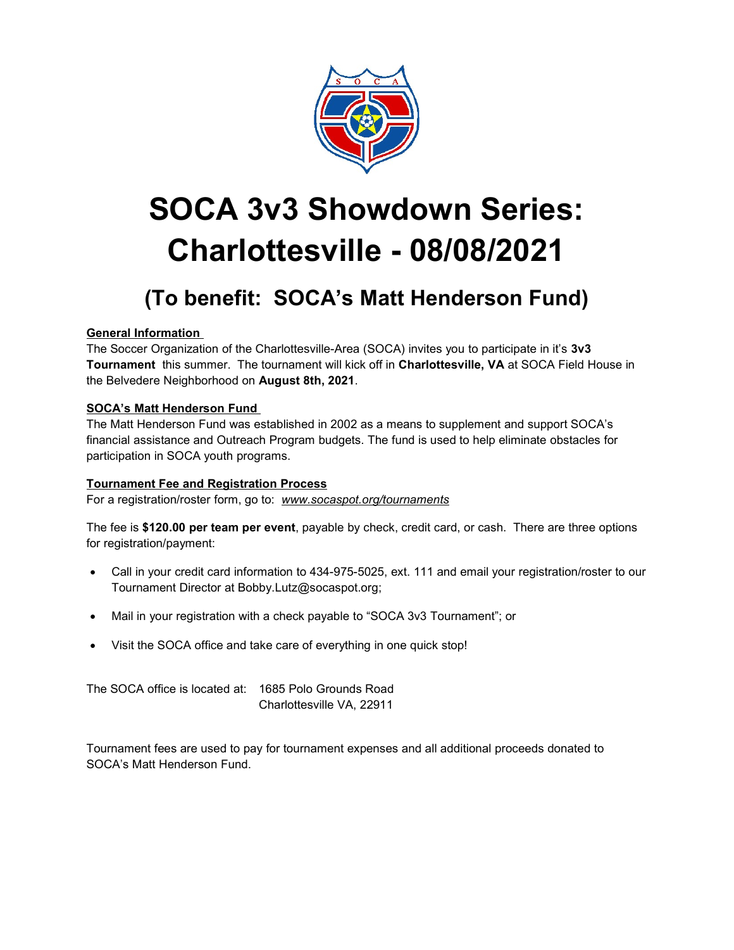

# SOCA 3v3 Showdown Series: Charlottesville - 08/08/2021

# (To benefit: SOCA's Matt Henderson Fund)

# General Information

The Soccer Organization of the Charlottesville-Area (SOCA) invites you to participate in it's 3v3 Tournament this summer. The tournament will kick off in Charlottesville, VA at SOCA Field House in the Belvedere Neighborhood on August 8th, 2021.

# SOCA's Matt Henderson Fund

The Matt Henderson Fund was established in 2002 as a means to supplement and support SOCA's financial assistance and Outreach Program budgets. The fund is used to help eliminate obstacles for participation in SOCA youth programs.

# Tournament Fee and Registration Process

For a registration/roster form, go to: www.socaspot.org/tournaments

The fee is \$120.00 per team per event, payable by check, credit card, or cash. There are three options for registration/payment:

- Call in your credit card information to 434-975-5025, ext. 111 and email your registration/roster to our Tournament Director at Bobby.Lutz@socaspot.org;
- Mail in your registration with a check payable to "SOCA 3v3 Tournament"; or
- Visit the SOCA office and take care of everything in one quick stop!

The SOCA office is located at: 1685 Polo Grounds Road Charlottesville VA, 22911

Tournament fees are used to pay for tournament expenses and all additional proceeds donated to SOCA's Matt Henderson Fund.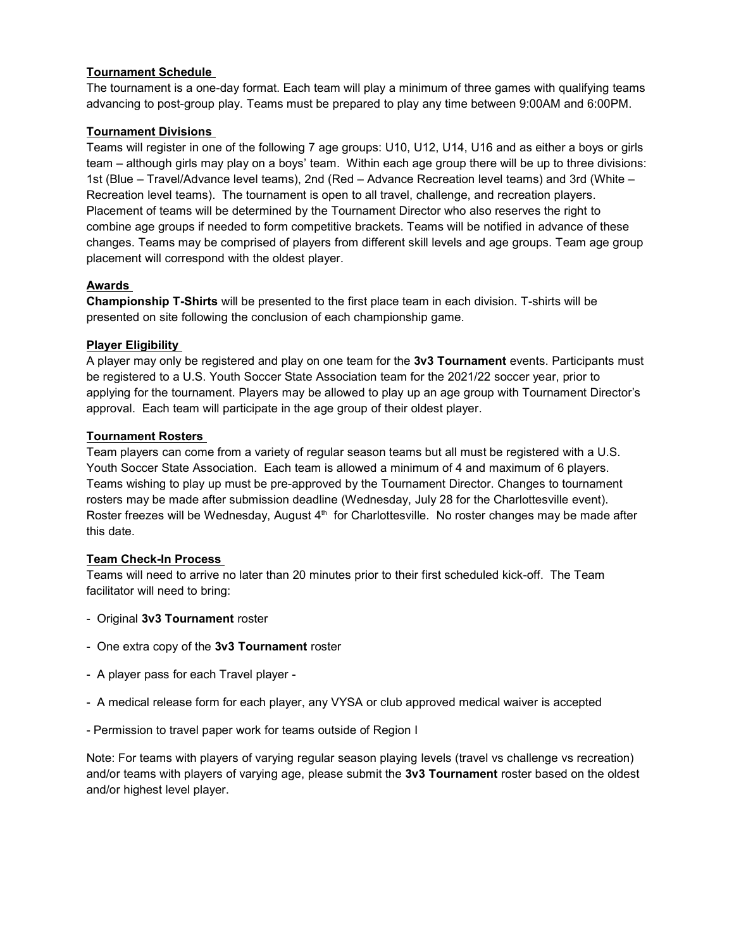# Tournament Schedule

The tournament is a one-day format. Each team will play a minimum of three games with qualifying teams advancing to post-group play. Teams must be prepared to play any time between 9:00AM and 6:00PM.

# Tournament Divisions

Teams will register in one of the following 7 age groups: U10, U12, U14, U16 and as either a boys or girls team – although girls may play on a boys' team. Within each age group there will be up to three divisions: 1st (Blue – Travel/Advance level teams), 2nd (Red – Advance Recreation level teams) and 3rd (White – Recreation level teams). The tournament is open to all travel, challenge, and recreation players. Placement of teams will be determined by the Tournament Director who also reserves the right to combine age groups if needed to form competitive brackets. Teams will be notified in advance of these changes. Teams may be comprised of players from different skill levels and age groups. Team age group placement will correspond with the oldest player.

# Awards

Championship T-Shirts will be presented to the first place team in each division. T-shirts will be presented on site following the conclusion of each championship game.

# Player Eligibility

A player may only be registered and play on one team for the 3v3 Tournament events. Participants must be registered to a U.S. Youth Soccer State Association team for the 2021/22 soccer year, prior to applying for the tournament. Players may be allowed to play up an age group with Tournament Director's approval. Each team will participate in the age group of their oldest player.

# Tournament Rosters

Team players can come from a variety of regular season teams but all must be registered with a U.S. Youth Soccer State Association. Each team is allowed a minimum of 4 and maximum of 6 players. Teams wishing to play up must be pre-approved by the Tournament Director. Changes to tournament rosters may be made after submission deadline (Wednesday, July 28 for the Charlottesville event). Roster freezes will be Wednesday, August 4<sup>th</sup> for Charlottesville. No roster changes may be made after this date.

# Team Check-In Process

Teams will need to arrive no later than 20 minutes prior to their first scheduled kick-off. The Team facilitator will need to bring:

- Original 3v3 Tournament roster
- One extra copy of the 3v3 Tournament roster
- A player pass for each Travel player -
- A medical release form for each player, any VYSA or club approved medical waiver is accepted
- Permission to travel paper work for teams outside of Region I

Note: For teams with players of varying regular season playing levels (travel vs challenge vs recreation) and/or teams with players of varying age, please submit the 3v3 Tournament roster based on the oldest and/or highest level player.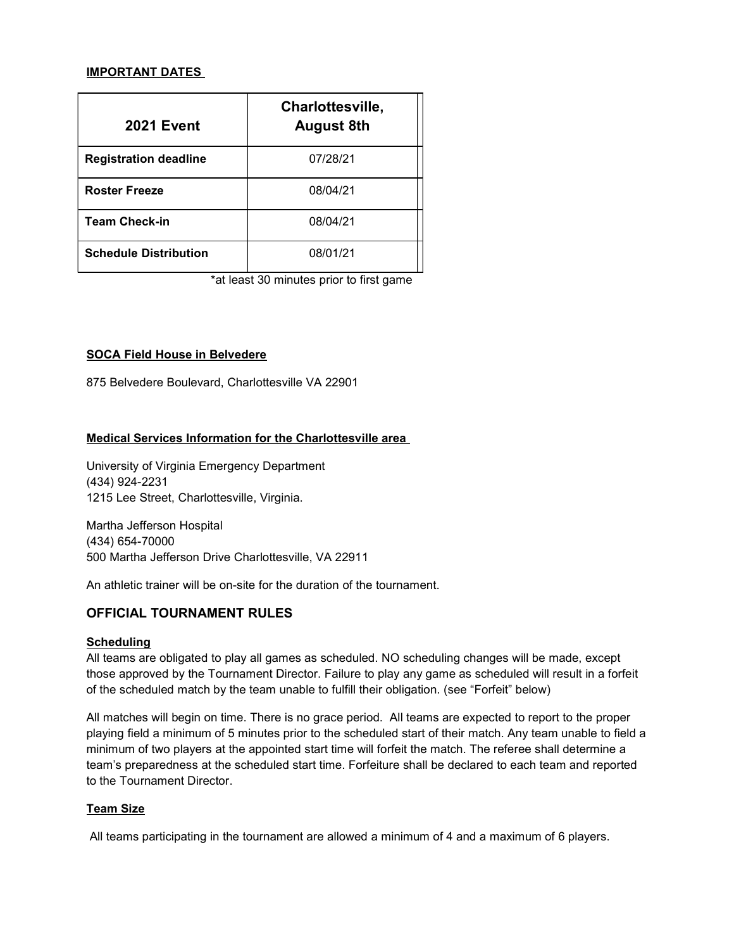#### IMPORTANT DATES

| <b>2021 Event</b>            | Charlottesville,<br><b>August 8th</b> |
|------------------------------|---------------------------------------|
| <b>Registration deadline</b> | 07/28/21                              |
| <b>Roster Freeze</b>         | 08/04/21                              |
| <b>Team Check-in</b>         | 08/04/21                              |
| <b>Schedule Distribution</b> | 08/01/21                              |

\*at least 30 minutes prior to first game

#### SOCA Field House in Belvedere

875 Belvedere Boulevard, Charlottesville VA 22901

#### Medical Services Information for the Charlottesville area

University of Virginia Emergency Department (434) 924-2231 1215 Lee Street, Charlottesville, Virginia.

Martha Jefferson Hospital (434) 654-70000 500 Martha Jefferson Drive Charlottesville, VA 22911

An athletic trainer will be on-site for the duration of the tournament.

# OFFICIAL TOURNAMENT RULES

#### **Scheduling**

All teams are obligated to play all games as scheduled. NO scheduling changes will be made, except those approved by the Tournament Director. Failure to play any game as scheduled will result in a forfeit of the scheduled match by the team unable to fulfill their obligation. (see "Forfeit" below)

All matches will begin on time. There is no grace period. All teams are expected to report to the proper playing field a minimum of 5 minutes prior to the scheduled start of their match. Any team unable to field a minimum of two players at the appointed start time will forfeit the match. The referee shall determine a team's preparedness at the scheduled start time. Forfeiture shall be declared to each team and reported to the Tournament Director.

#### Team Size

All teams participating in the tournament are allowed a minimum of 4 and a maximum of 6 players.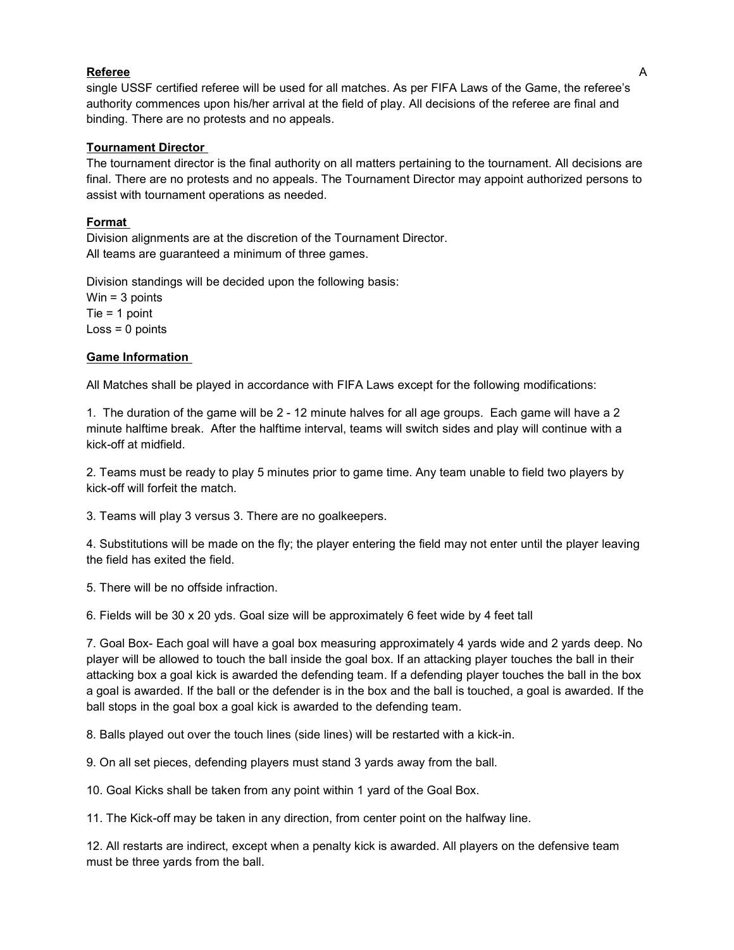#### Referee A

single USSF certified referee will be used for all matches. As per FIFA Laws of the Game, the referee's authority commences upon his/her arrival at the field of play. All decisions of the referee are final and binding. There are no protests and no appeals.

#### Tournament Director

The tournament director is the final authority on all matters pertaining to the tournament. All decisions are final. There are no protests and no appeals. The Tournament Director may appoint authorized persons to assist with tournament operations as needed.

#### Format

Division alignments are at the discretion of the Tournament Director. All teams are guaranteed a minimum of three games.

Division standings will be decided upon the following basis:

Win = 3 points Tie = 1 point  $Loss = 0$  points

#### Game Information

All Matches shall be played in accordance with FIFA Laws except for the following modifications:

1. The duration of the game will be 2 - 12 minute halves for all age groups. Each game will have a 2 minute halftime break. After the halftime interval, teams will switch sides and play will continue with a kick-off at midfield.

2. Teams must be ready to play 5 minutes prior to game time. Any team unable to field two players by kick-off will forfeit the match.

3. Teams will play 3 versus 3. There are no goalkeepers.

4. Substitutions will be made on the fly; the player entering the field may not enter until the player leaving the field has exited the field.

5. There will be no offside infraction.

6. Fields will be 30 x 20 yds. Goal size will be approximately 6 feet wide by 4 feet tall

7. Goal Box- Each goal will have a goal box measuring approximately 4 yards wide and 2 yards deep. No player will be allowed to touch the ball inside the goal box. If an attacking player touches the ball in their attacking box a goal kick is awarded the defending team. If a defending player touches the ball in the box a goal is awarded. If the ball or the defender is in the box and the ball is touched, a goal is awarded. If the ball stops in the goal box a goal kick is awarded to the defending team.

8. Balls played out over the touch lines (side lines) will be restarted with a kick-in.

9. On all set pieces, defending players must stand 3 yards away from the ball.

10. Goal Kicks shall be taken from any point within 1 yard of the Goal Box.

11. The Kick-off may be taken in any direction, from center point on the halfway line.

12. All restarts are indirect, except when a penalty kick is awarded. All players on the defensive team must be three yards from the ball.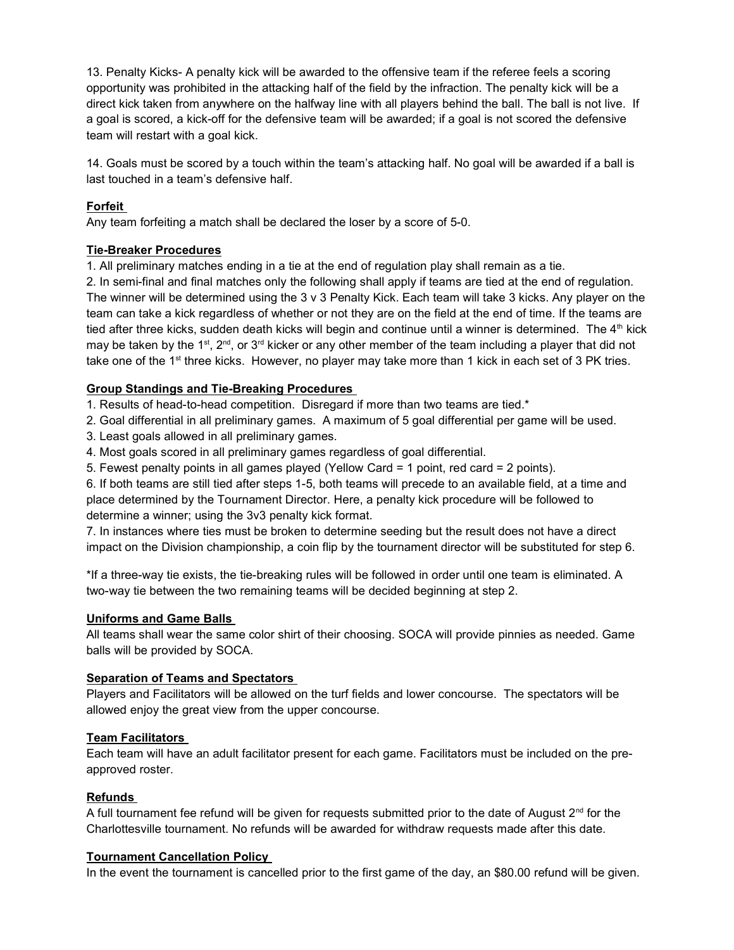13. Penalty Kicks- A penalty kick will be awarded to the offensive team if the referee feels a scoring opportunity was prohibited in the attacking half of the field by the infraction. The penalty kick will be a direct kick taken from anywhere on the halfway line with all players behind the ball. The ball is not live. If a goal is scored, a kick-off for the defensive team will be awarded; if a goal is not scored the defensive team will restart with a goal kick.

14. Goals must be scored by a touch within the team's attacking half. No goal will be awarded if a ball is last touched in a team's defensive half.

# Forfeit

Any team forfeiting a match shall be declared the loser by a score of 5-0.

# Tie-Breaker Procedures

1. All preliminary matches ending in a tie at the end of regulation play shall remain as a tie.

2. In semi-final and final matches only the following shall apply if teams are tied at the end of regulation. The winner will be determined using the 3 v 3 Penalty Kick. Each team will take 3 kicks. Any player on the team can take a kick regardless of whether or not they are on the field at the end of time. If the teams are tied after three kicks, sudden death kicks will begin and continue until a winner is determined. The 4<sup>th</sup> kick may be taken by the 1<sup>st</sup>, 2<sup>nd</sup>, or 3<sup>rd</sup> kicker or any other member of the team including a player that did not take one of the 1st three kicks. However, no player may take more than 1 kick in each set of 3 PK tries.

# Group Standings and Tie-Breaking Procedures

1. Results of head-to-head competition. Disregard if more than two teams are tied.\*

2. Goal differential in all preliminary games. A maximum of 5 goal differential per game will be used.

- 3. Least goals allowed in all preliminary games.
- 4. Most goals scored in all preliminary games regardless of goal differential.
- 5. Fewest penalty points in all games played (Yellow Card = 1 point, red card = 2 points).

6. If both teams are still tied after steps 1-5, both teams will precede to an available field, at a time and place determined by the Tournament Director. Here, a penalty kick procedure will be followed to determine a winner; using the 3v3 penalty kick format.

7. In instances where ties must be broken to determine seeding but the result does not have a direct impact on the Division championship, a coin flip by the tournament director will be substituted for step 6.

\*If a three-way tie exists, the tie-breaking rules will be followed in order until one team is eliminated. A two-way tie between the two remaining teams will be decided beginning at step 2.

# Uniforms and Game Balls

All teams shall wear the same color shirt of their choosing. SOCA will provide pinnies as needed. Game balls will be provided by SOCA.

# Separation of Teams and Spectators

Players and Facilitators will be allowed on the turf fields and lower concourse. The spectators will be allowed enjoy the great view from the upper concourse.

# Team Facilitators

Each team will have an adult facilitator present for each game. Facilitators must be included on the preapproved roster.

# Refunds

A full tournament fee refund will be given for requests submitted prior to the date of August  $2<sup>nd</sup>$  for the Charlottesville tournament. No refunds will be awarded for withdraw requests made after this date.

#### Tournament Cancellation Policy

In the event the tournament is cancelled prior to the first game of the day, an \$80.00 refund will be given.